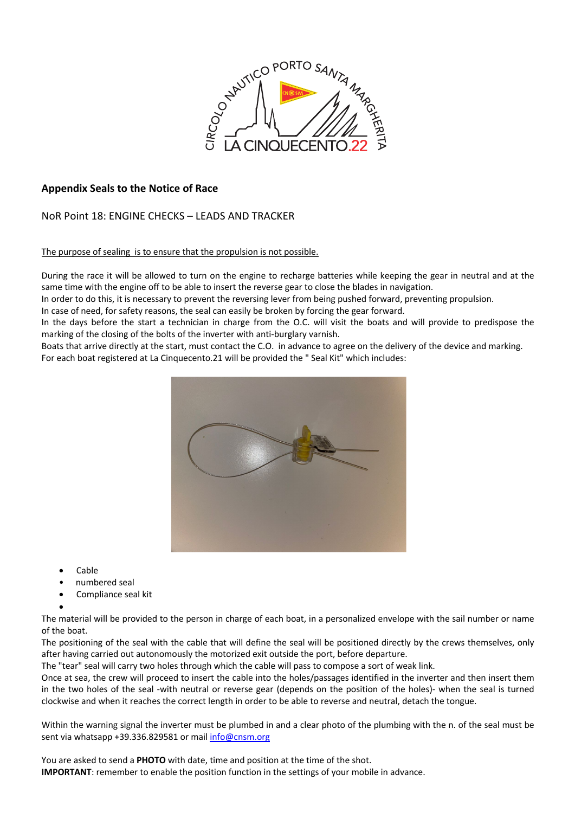

## **Appendix Seals to the Notice of Race**

## NoR Point 18: ENGINE CHECKS – LEADS AND TRACKER

## The purpose of sealing is to ensure that the propulsion is not possible.

During the race it will be allowed to turn on the engine to recharge batteries while keeping the gear in neutral and at the same time with the engine off to be able to insert the reverse gear to close the blades in navigation.

In order to do this, it is necessary to prevent the reversing lever from being pushed forward, preventing propulsion.

In case of need, for safety reasons, the seal can easily be broken by forcing the gear forward.

In the days before the start a technician in charge from the O.C. will visit the boats and will provide to predispose the marking of the closing of the bolts of the inverter with anti-burglary varnish.

Boats that arrive directly at the start, must contact the C.O. in advance to agree on the delivery of the device and marking. For each boat registered at La Cinquecento.21 will be provided the " Seal Kit" which includes:



- Cable
- numbered seal
- Compliance seal kit
- •

The material will be provided to the person in charge of each boat, in a personalized envelope with the sail number or name of the boat.

The positioning of the seal with the cable that will define the seal will be positioned directly by the crews themselves, only after having carried out autonomously the motorized exit outside the port, before departure.

The "tear" seal will carry two holes through which the cable will pass to compose a sort of weak link.

Once at sea, the crew will proceed to insert the cable into the holes/passages identified in the inverter and then insert them in the two holes of the seal -with neutral or reverse gear (depends on the position of the holes)- when the seal is turned clockwise and when it reaches the correct length in order to be able to reverse and neutral, detach the tongue.

Within the warning signal the inverter must be plumbed in and a clear photo of the plumbing with the n. of the seal must be sent via whatsapp +39.336.829581 or mail info@cnsm.org

You are asked to send a **PHOTO** with date, time and position at the time of the shot. **IMPORTANT**: remember to enable the position function in the settings of your mobile in advance.